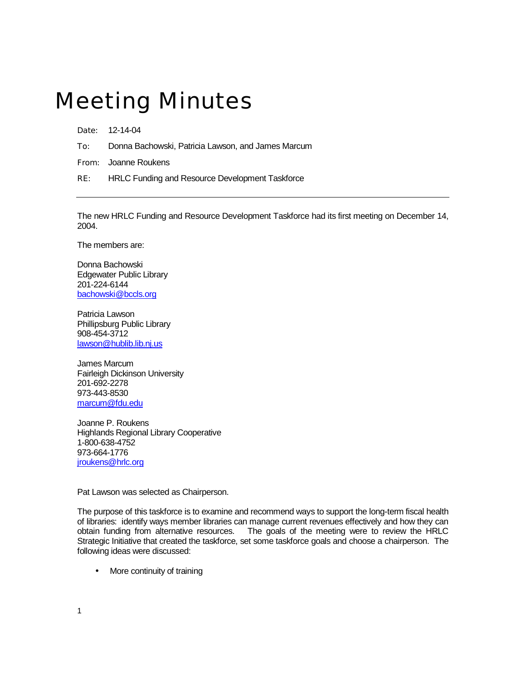## Meeting Minutes

Date: 12-14-04

To: Donna Bachowski, Patricia Lawson, and James Marcum

From: Joanne Roukens

RE: HRLC Funding and Resource Development Taskforce

The new HRLC Funding and Resource Development Taskforce had its first meeting on December 14, 2004.

The members are:

Donna Bachowski Edgewater Public Library 201-224-6144 [bachowski@bccls.org](mailto:bachowski@bccls.org)

Patricia Lawson Phillipsburg Public Library 908-454-3712 [lawson@hublib.lib.nj.us](mailto:lawson@hublib.lib.nj.us) 

James Marcum Fairleigh Dickinson University 201-692-2278 973-443-8530 [marcum@fdu.edu](mailto:marcum@fdu.edu)

Joanne P. Roukens Highlands Regional Library Cooperative 1-800-638-4752 973-664-1776 [jroukens@hrlc.org](mailto:jroukens@hrlc.org)

Pat Lawson was selected as Chairperson.

The purpose of this taskforce is to examine and recommend ways to support the long-term fiscal health of libraries: identify ways member libraries can manage current revenues effectively and how they can obtain funding from alternative resources. The goals of the meeting were to review the HRLC Strategic Initiative that created the taskforce, set some taskforce goals and choose a chairperson. The following ideas were discussed:

• More continuity of training